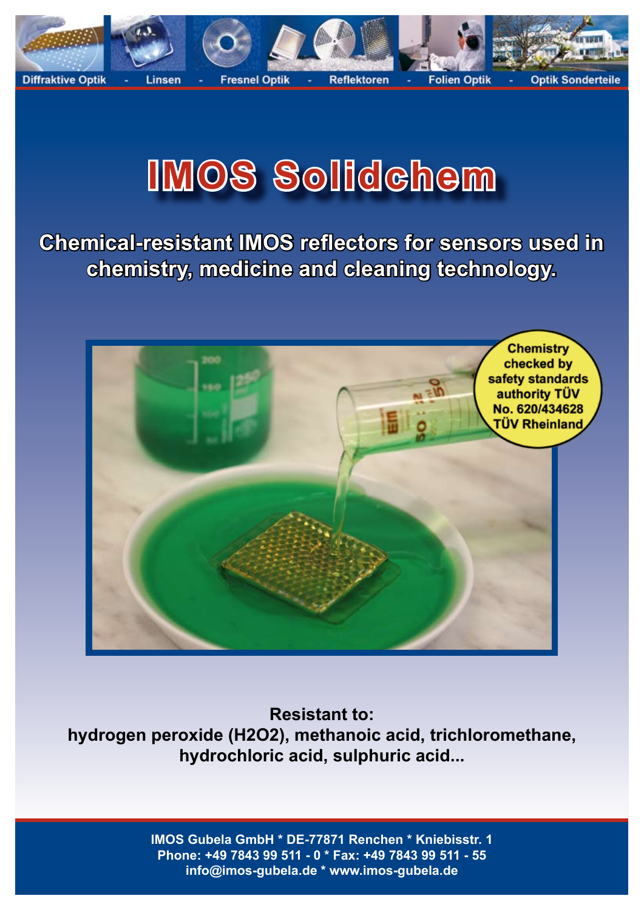

## **IMOS Solidchem**

**Chemical-resistant IMOS reflectors for sensors used in chemistry, medicine and cleaning technology.**



**Resistant to: hydrogen peroxide (H2O2), methanoic acid, trichloromethane, hydrochloric acid, sulphuric acid...**

> **IMOS Gubela GmbH \* DE-77871 Renchen \* Kniebisstr. 1 Phone: +49 7843 99 511 - 0 \* Fax: +49 7843 99 511 - 55 info@imos-gubela.de \* www.imos-gubela.de**